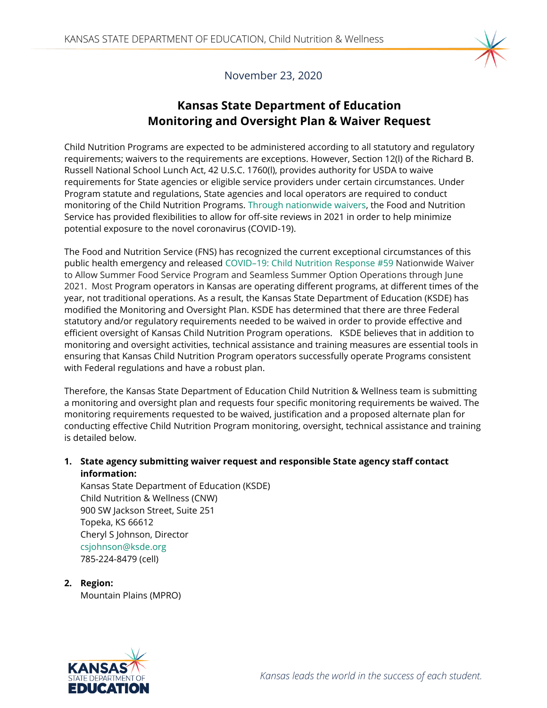

November 23, 2020

# **Kansas State Department of Education Monitoring and Oversight Plan & Waiver Request**

Child Nutrition Programs are expected to be administered according to all statutory and regulatory requirements; waivers to the requirements are exceptions. However, Section 12(l) of the Richard B. Russell National School Lunch Act, 42 U.S.C. 1760(l), provides authority for USDA to waive requirements for State agencies or eligible service providers under certain circumstances. Under Program statute and regulations, State agencies and local operators are required to conduct monitoring of the Child Nutrition Programs. [Through nationwide waivers,](https://www.fns.usda.gov/cn/child-nutrition-monitoring-nationwide-waiver) the Food and Nutrition Service has provided flexibilities to allow for off-site reviews in 2021 in order to help minimize potential exposure to the novel coronavirus (COVID-19).

The Food and Nutrition Service (FNS) has recognized the current exceptional circumstances of this public health emergency and released COVID–[19: Child Nutrition Response #59](https://www.fns.usda.gov/cn/covid-19-response-59) Nationwide Waiver to Allow Summer Food Service Program and Seamless Summer Option Operations through June 2021. Most Program operators in Kansas are operating different programs, at different times of the year, not traditional operations. As a result, the Kansas State Department of Education (KSDE) has modified the Monitoring and Oversight Plan. KSDE has determined that there are three Federal statutory and/or regulatory requirements needed to be waived in order to provide effective and efficient oversight of Kansas Child Nutrition Program operations. KSDE believes that in addition to monitoring and oversight activities, technical assistance and training measures are essential tools in ensuring that Kansas Child Nutrition Program operators successfully operate Programs consistent with Federal regulations and have a robust plan.

Therefore, the Kansas State Department of Education Child Nutrition & Wellness team is submitting a monitoring and oversight plan and requests four specific monitoring requirements be waived. The monitoring requirements requested to be waived, justification and a proposed alternate plan for conducting effective Child Nutrition Program monitoring, oversight, technical assistance and training is detailed below.

## **1. State agency submitting waiver request and responsible State agency staff contact information:**

Kansas State Department of Education (KSDE) Child Nutrition & Wellness (CNW) 900 SW Jackson Street, Suite 251 Topeka, KS 66612 Cheryl S Johnson, Director [csjohnson@ksde.org](mailto:csjohnson@ksde.org) 785-224-8479 (cell)

**2. Region:** Mountain Plains (MPRO)

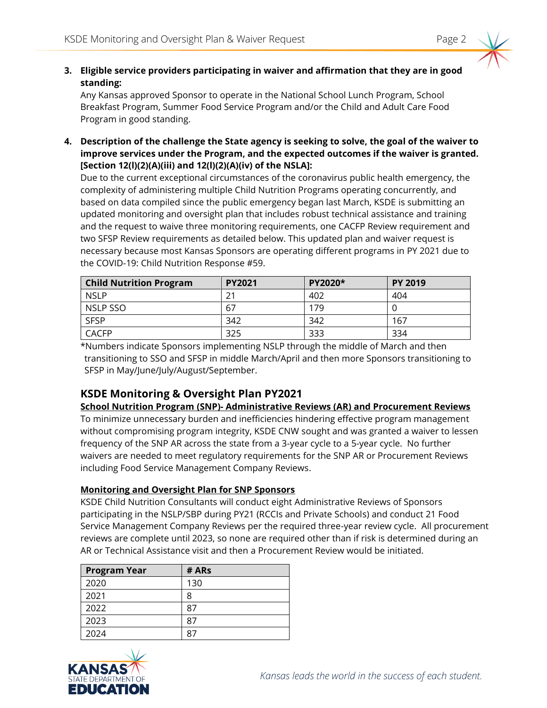## **3. Eligible service providers participating in waiver and affirmation that they are in good standing:**

Any Kansas approved Sponsor to operate in the National School Lunch Program, School Breakfast Program, Summer Food Service Program and/or the Child and Adult Care Food Program in good standing.

**4. Description of the challenge the State agency is seeking to solve, the goal of the waiver to improve services under the Program, and the expected outcomes if the waiver is granted. [Section 12(l)(2)(A)(iii) and 12(l)(2)(A)(iv) of the NSLA]:** 

Due to the current exceptional circumstances of the coronavirus public health emergency, the complexity of administering multiple Child Nutrition Programs operating concurrently, and based on data compiled since the public emergency began last March, KSDE is submitting an updated monitoring and oversight plan that includes robust technical assistance and training and the request to waive three monitoring requirements, one CACFP Review requirement and two SFSP Review requirements as detailed below. This updated plan and waiver request is necessary because most Kansas Sponsors are operating different programs in PY 2021 due to the COVID-19: Child Nutrition Response #59.

| <b>Child Nutrition Program</b> | <b>PY2021</b> | <b>PY2020*</b> | <b>PY 2019</b> |
|--------------------------------|---------------|----------------|----------------|
| <b>NSLP</b>                    | 21            | 402            | 404            |
| NSLP SSO                       | 67            | 179            |                |
| <b>SFSP</b>                    | 342           | 342            | 167            |
| <b>CACFP</b>                   | 325           | 333            | 334            |

\*Numbers indicate Sponsors implementing NSLP through the middle of March and then transitioning to SSO and SFSP in middle March/April and then more Sponsors transitioning to SFSP in May/June/July/August/September.

## **KSDE Monitoring & Oversight Plan PY2021**

#### **School Nutrition Program (SNP)- Administrative Reviews (AR) and Procurement Reviews**

To minimize unnecessary burden and inefficiencies hindering effective program management without compromising program integrity, KSDE CNW sought and was granted a waiver to lessen frequency of the SNP AR across the state from a 3-year cycle to a 5-year cycle. No further waivers are needed to meet regulatory requirements for the SNP AR or Procurement Reviews including Food Service Management Company Reviews.

## **Monitoring and Oversight Plan for SNP Sponsors**

KSDE Child Nutrition Consultants will conduct eight Administrative Reviews of Sponsors participating in the NSLP/SBP during PY21 (RCCIs and Private Schools) and conduct 21 Food Service Management Company Reviews per the required three-year review cycle. All procurement reviews are complete until 2023, so none are required other than if risk is determined during an AR or Technical Assistance visit and then a Procurement Review would be initiated.

| <b>Program Year</b> | # ARs |
|---------------------|-------|
| 2020                | 130   |
| 2021                | 8     |
| 2022                | 87    |
| 2023                | χ,    |
| 2024                |       |

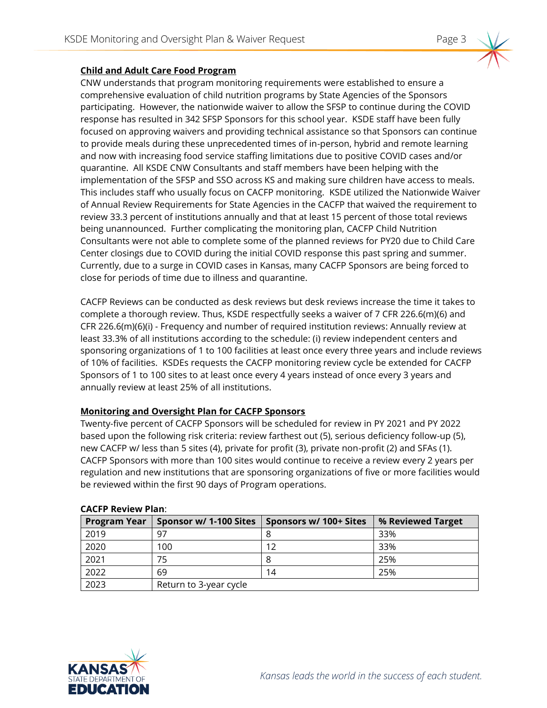### **Child and Adult Care Food Program**

CNW understands that program monitoring requirements were established to ensure a comprehensive evaluation of child nutrition programs by State Agencies of the Sponsors participating. However, the nationwide waiver to allow the SFSP to continue during the COVID response has resulted in 342 SFSP Sponsors for this school year. KSDE staff have been fully focused on approving waivers and providing technical assistance so that Sponsors can continue to provide meals during these unprecedented times of in-person, hybrid and remote learning and now with increasing food service staffing limitations due to positive COVID cases and/or quarantine. All KSDE CNW Consultants and staff members have been helping with the implementation of the SFSP and SSO across KS and making sure children have access to meals. This includes staff who usually focus on CACFP monitoring. KSDE utilized the Nationwide Waiver of Annual Review Requirements for State Agencies in the CACFP that waived the requirement to review 33.3 percent of institutions annually and that at least 15 percent of those total reviews being unannounced. Further complicating the monitoring plan, CACFP Child Nutrition Consultants were not able to complete some of the planned reviews for PY20 due to Child Care Center closings due to COVID during the initial COVID response this past spring and summer. Currently, due to a surge in COVID cases in Kansas, many CACFP Sponsors are being forced to close for periods of time due to illness and quarantine.

CACFP Reviews can be conducted as desk reviews but desk reviews increase the time it takes to complete a thorough review. Thus, KSDE respectfully seeks a waiver of 7 CFR 226.6(m)(6) and CFR 226.6(m)(6)(i) - Frequency and number of required institution reviews: Annually review at least 33.3% of all institutions according to the schedule: (i) review independent centers and sponsoring organizations of 1 to 100 facilities at least once every three years and include reviews of 10% of facilities. KSDEs requests the CACFP monitoring review cycle be extended for CACFP Sponsors of 1 to 100 sites to at least once every 4 years instead of once every 3 years and annually review at least 25% of all institutions.

## **Monitoring and Oversight Plan for CACFP Sponsors**

Twenty-five percent of CACFP Sponsors will be scheduled for review in PY 2021 and PY 2022 based upon the following risk criteria: review farthest out (5), serious deficiency follow-up (5), new CACFP w/ less than 5 sites (4), private for profit (3), private non-profit (2) and SFAs (1). CACFP Sponsors with more than 100 sites would continue to receive a review every 2 years per regulation and new institutions that are sponsoring organizations of five or more facilities would be reviewed within the first 90 days of Program operations.

| <b>Program Year</b> | Sponsor w/ 1-100 Sites | Sponsors w/ 100+ Sites | % Reviewed Target |
|---------------------|------------------------|------------------------|-------------------|
| 2019                | -97                    |                        | 33%               |
| 2020                | 100                    | 12                     | 33%               |
| 2021                |                        |                        | 25%               |
| 2022                | 69                     | 14                     | 25%               |
| 2023                | Return to 3-year cycle |                        |                   |

#### **CACFP Review Plan**:

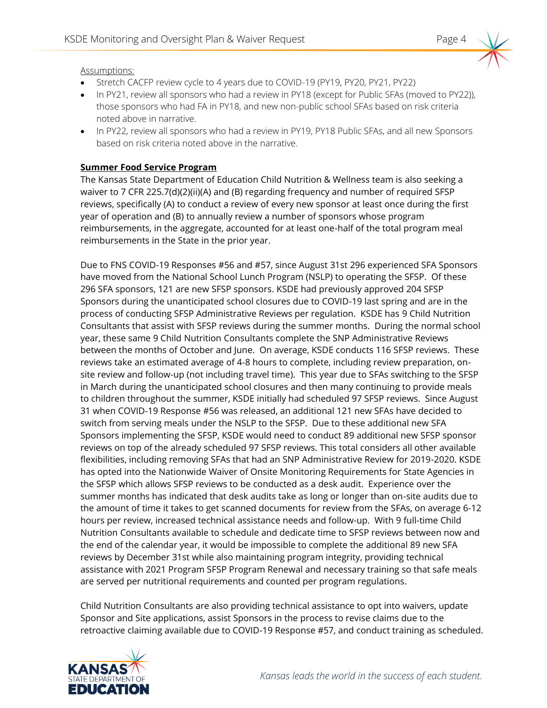Assumptions:

- Stretch CACFP review cycle to 4 years due to COVID-19 (PY19, PY20, PY21, PY22)
- In PY21, review all sponsors who had a review in PY18 (except for Public SFAs (moved to PY22)), those sponsors who had FA in PY18, and new non-public school SFAs based on risk criteria noted above in narrative.
- In PY22, review all sponsors who had a review in PY19, PY18 Public SFAs, and all new Sponsors based on risk criteria noted above in the narrative.

## **Summer Food Service Program**

The Kansas State Department of Education Child Nutrition & Wellness team is also seeking a waiver to 7 CFR 225.7(d)(2)(ii)(A) and (B) regarding frequency and number of required SFSP reviews, specifically (A) to conduct a review of every new sponsor at least once during the first year of operation and (B) to annually review a number of sponsors whose program reimbursements, in the aggregate, accounted for at least one-half of the total program meal reimbursements in the State in the prior year.

Due to FNS COVID-19 Responses #56 and #57, since August 31st 296 experienced SFA Sponsors have moved from the National School Lunch Program (NSLP) to operating the SFSP. Of these 296 SFA sponsors, 121 are new SFSP sponsors. KSDE had previously approved 204 SFSP Sponsors during the unanticipated school closures due to COVID-19 last spring and are in the process of conducting SFSP Administrative Reviews per regulation. KSDE has 9 Child Nutrition Consultants that assist with SFSP reviews during the summer months. During the normal school year, these same 9 Child Nutrition Consultants complete the SNP Administrative Reviews between the months of October and June. On average, KSDE conducts 116 SFSP reviews. These reviews take an estimated average of 4-8 hours to complete, including review preparation, onsite review and follow-up (not including travel time). This year due to SFAs switching to the SFSP in March during the unanticipated school closures and then many continuing to provide meals to children throughout the summer, KSDE initially had scheduled 97 SFSP reviews. Since August 31 when COVID-19 Response #56 was released, an additional 121 new SFAs have decided to switch from serving meals under the NSLP to the SFSP. Due to these additional new SFA Sponsors implementing the SFSP, KSDE would need to conduct 89 additional new SFSP sponsor reviews on top of the already scheduled 97 SFSP reviews. This total considers all other available flexibilities, including removing SFAs that had an SNP Administrative Review for 2019-2020. KSDE has opted into the Nationwide Waiver of Onsite Monitoring Requirements for State Agencies in the SFSP which allows SFSP reviews to be conducted as a desk audit. Experience over the summer months has indicated that desk audits take as long or longer than on-site audits due to the amount of time it takes to get scanned documents for review from the SFAs, on average 6-12 hours per review, increased technical assistance needs and follow-up. With 9 full-time Child Nutrition Consultants available to schedule and dedicate time to SFSP reviews between now and the end of the calendar year, it would be impossible to complete the additional 89 new SFA reviews by December 31st while also maintaining program integrity, providing technical assistance with 2021 Program SFSP Program Renewal and necessary training so that safe meals are served per nutritional requirements and counted per program regulations.

Child Nutrition Consultants are also providing technical assistance to opt into waivers, update Sponsor and Site applications, assist Sponsors in the process to revise claims due to the retroactive claiming available due to COVID-19 Response #57, and conduct training as scheduled.

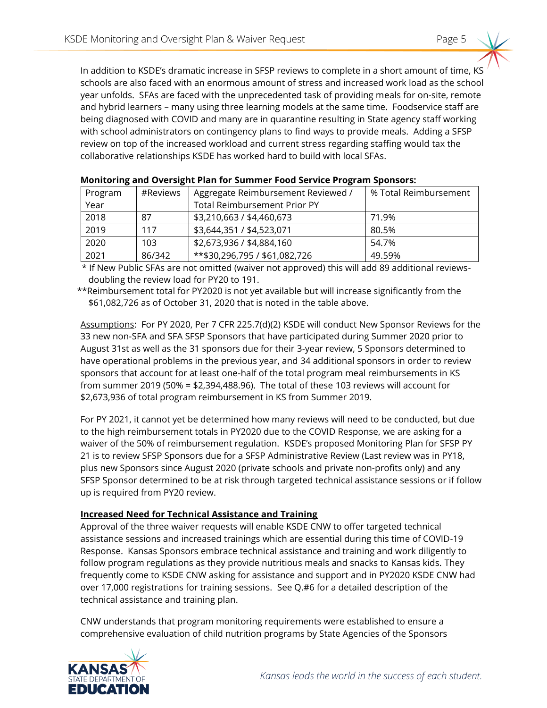In addition to KSDE's dramatic increase in SFSP reviews to complete in a short amount of time, KS schools are also faced with an enormous amount of stress and increased work load as the school year unfolds. SFAs are faced with the unprecedented task of providing meals for on-site, remote and hybrid learners – many using three learning models at the same time. Foodservice staff are being diagnosed with COVID and many are in quarantine resulting in State agency staff working with school administrators on contingency plans to find ways to provide meals. Adding a SFSP review on top of the increased workload and current stress regarding staffing would tax the collaborative relationships KSDE has worked hard to build with local SFAs.

| Program | #Reviews | Aggregate Reimbursement Reviewed /  | % Total Reimbursement |  |
|---------|----------|-------------------------------------|-----------------------|--|
| Year    |          | <b>Total Reimbursement Prior PY</b> |                       |  |
| 2018    | 87       | \$3,210,663 / \$4,460,673           | 71.9%                 |  |
| 2019    | 117      | \$3,644,351 / \$4,523,071           | 80.5%                 |  |
| 2020    | 103      | \$2,673,936 / \$4,884,160           | 54.7%                 |  |
| 2021    | 86/342   | **\$30,296,795 / \$61,082,726       | 49.59%                |  |

|  | Monitoring and Oversight Plan for Summer Food Service Program Sponsors: |  |
|--|-------------------------------------------------------------------------|--|
|  |                                                                         |  |

 \* If New Public SFAs are not omitted (waiver not approved) this will add 89 additional reviewsdoubling the review load for PY20 to 191.

\*\*Reimbursement total for PY2020 is not yet available but will increase significantly from the \$61,082,726 as of October 31, 2020 that is noted in the table above.

Assumptions: For PY 2020, Per 7 CFR 225.7(d)(2) KSDE will conduct New Sponsor Reviews for the 33 new non-SFA and SFA SFSP Sponsors that have participated during Summer 2020 prior to August 31st as well as the 31 sponsors due for their 3-year review, 5 Sponsors determined to have operational problems in the previous year, and 34 additional sponsors in order to review sponsors that account for at least one-half of the total program meal reimbursements in KS from summer 2019 (50% = \$2,394,488.96). The total of these 103 reviews will account for \$2,673,936 of total program reimbursement in KS from Summer 2019.

For PY 2021, it cannot yet be determined how many reviews will need to be conducted, but due to the high reimbursement totals in PY2020 due to the COVID Response, we are asking for a waiver of the 50% of reimbursement regulation. KSDE's proposed Monitoring Plan for SFSP PY 21 is to review SFSP Sponsors due for a SFSP Administrative Review (Last review was in PY18, plus new Sponsors since August 2020 (private schools and private non-profits only) and any SFSP Sponsor determined to be at risk through targeted technical assistance sessions or if follow up is required from PY20 review.

#### **Increased Need for Technical Assistance and Training**

Approval of the three waiver requests will enable KSDE CNW to offer targeted technical assistance sessions and increased trainings which are essential during this time of COVID-19 Response. Kansas Sponsors embrace technical assistance and training and work diligently to follow program regulations as they provide nutritious meals and snacks to Kansas kids. They frequently come to KSDE CNW asking for assistance and support and in PY2020 KSDE CNW had over 17,000 registrations for training sessions. See Q.#6 for a detailed description of the technical assistance and training plan.

CNW understands that program monitoring requirements were established to ensure a comprehensive evaluation of child nutrition programs by State Agencies of the Sponsors

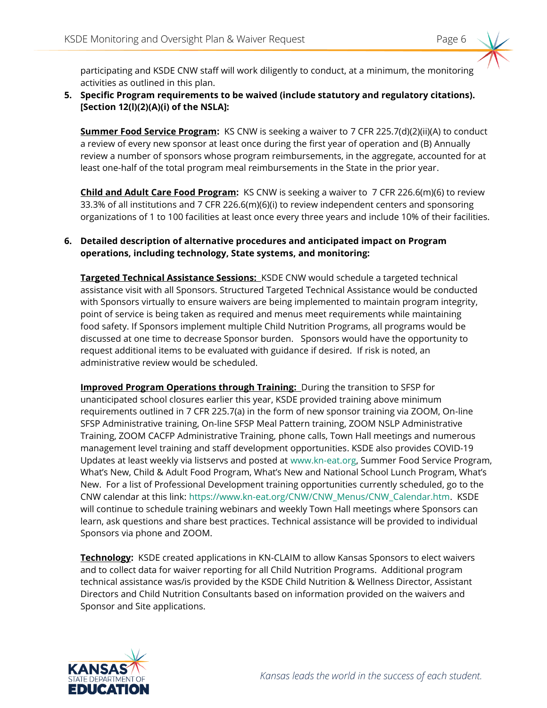participating and KSDE CNW staff will work diligently to conduct, at a minimum, the monitoring activities as outlined in this plan.

## **5. Specific Program requirements to be waived (include statutory and regulatory citations). [Section 12(l)(2)(A)(i) of the NSLA]:**

**Summer Food Service Program:** KS CNW is seeking a waiver to 7 CFR 225.7(d)(2)(ii)(A) to conduct a review of every new sponsor at least once during the first year of operation and (B) Annually review a number of sponsors whose program reimbursements, in the aggregate, accounted for at least one-half of the total program meal reimbursements in the State in the prior year.

**Child and Adult Care Food Program:** KS CNW is seeking a waiver to 7 CFR 226.6(m)(6) to review 33.3% of all institutions and 7 CFR 226.6(m)(6)(i) to review independent centers and sponsoring organizations of 1 to 100 facilities at least once every three years and include 10% of their facilities.

## **6. Detailed description of alternative procedures and anticipated impact on Program operations, including technology, State systems, and monitoring:**

**Targeted Technical Assistance Sessions:** KSDE CNW would schedule a targeted technical assistance visit with all Sponsors. Structured Targeted Technical Assistance would be conducted with Sponsors virtually to ensure waivers are being implemented to maintain program integrity, point of service is being taken as required and menus meet requirements while maintaining food safety. If Sponsors implement multiple Child Nutrition Programs, all programs would be discussed at one time to decrease Sponsor burden. Sponsors would have the opportunity to request additional items to be evaluated with guidance if desired. If risk is noted, an administrative review would be scheduled.

**Improved Program Operations through Training:** During the transition to SFSP for unanticipated school closures earlier this year, KSDE provided training above minimum requirements outlined in 7 CFR 225.7(a) in the form of new sponsor training via ZOOM, On-line SFSP Administrative training, On-line SFSP Meal Pattern training, ZOOM NSLP Administrative Training, ZOOM CACFP Administrative Training, phone calls, Town Hall meetings and numerous management level training and staff development opportunities. KSDE also provides COVID-19 Updates at least weekly via listservs and posted at [www.kn-eat.org,](http://www.kn-eat.org/) Summer Food Service Program, What's New, Child & Adult Food Program, What's New and National School Lunch Program, What's New. For a list of Professional Development training opportunities currently scheduled, go to the CNW calendar at this link: [https://www.kn-eat.org/CNW/CNW\\_Menus/CNW\\_Calendar.htm.](https://www.kn-eat.org/CNW/CNW_Menus/CNW_Calendar.htm) KSDE will continue to schedule training webinars and weekly Town Hall meetings where Sponsors can learn, ask questions and share best practices. Technical assistance will be provided to individual Sponsors via phone and ZOOM.

**Technology:** KSDE created applications in KN-CLAIM to allow Kansas Sponsors to elect waivers and to collect data for waiver reporting for all Child Nutrition Programs. Additional program technical assistance was/is provided by the KSDE Child Nutrition & Wellness Director, Assistant Directors and Child Nutrition Consultants based on information provided on the waivers and Sponsor and Site applications.

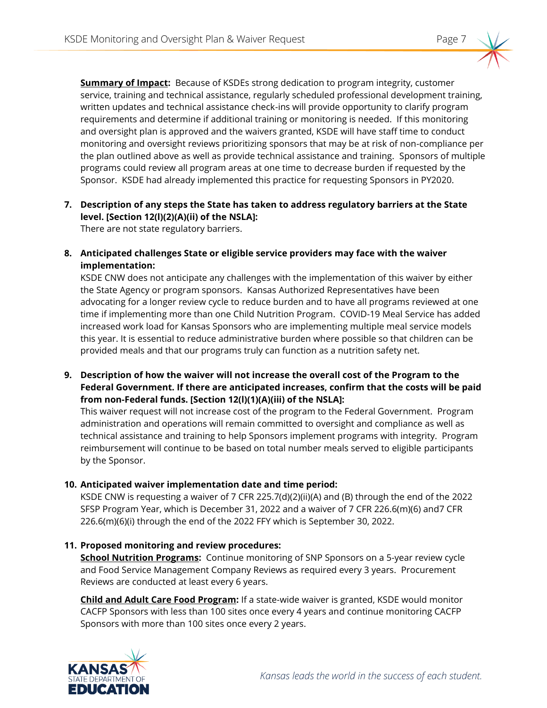

**Summary of Impact:** Because of KSDEs strong dedication to program integrity, customer service, training and technical assistance, regularly scheduled professional development training, written updates and technical assistance check-ins will provide opportunity to clarify program requirements and determine if additional training or monitoring is needed. If this monitoring and oversight plan is approved and the waivers granted, KSDE will have staff time to conduct monitoring and oversight reviews prioritizing sponsors that may be at risk of non-compliance per the plan outlined above as well as provide technical assistance and training. Sponsors of multiple programs could review all program areas at one time to decrease burden if requested by the Sponsor. KSDE had already implemented this practice for requesting Sponsors in PY2020.

**7. Description of any steps the State has taken to address regulatory barriers at the State level. [Section 12(l)(2)(A)(ii) of the NSLA]:**

There are not state regulatory barriers.

**8. Anticipated challenges State or eligible service providers may face with the waiver implementation:**

KSDE CNW does not anticipate any challenges with the implementation of this waiver by either the State Agency or program sponsors. Kansas Authorized Representatives have been advocating for a longer review cycle to reduce burden and to have all programs reviewed at one time if implementing more than one Child Nutrition Program. COVID-19 Meal Service has added increased work load for Kansas Sponsors who are implementing multiple meal service models this year. It is essential to reduce administrative burden where possible so that children can be provided meals and that our programs truly can function as a nutrition safety net.

**9. Description of how the waiver will not increase the overall cost of the Program to the Federal Government. If there are anticipated increases, confirm that the costs will be paid from non-Federal funds. [Section 12(l)(1)(A)(iii) of the NSLA]:**

This waiver request will not increase cost of the program to the Federal Government. Program administration and operations will remain committed to oversight and compliance as well as technical assistance and training to help Sponsors implement programs with integrity. Program reimbursement will continue to be based on total number meals served to eligible participants by the Sponsor.

**10. Anticipated waiver implementation date and time period:** 

KSDE CNW is requesting a waiver of 7 CFR 225.7(d)(2)(ii)(A) and (B) through the end of the 2022 SFSP Program Year, which is December 31, 2022 and a waiver of 7 CFR 226.6(m)(6) and7 CFR 226.6(m)(6)(i) through the end of the 2022 FFY which is September 30, 2022.

## **11. Proposed monitoring and review procedures:**

**School Nutrition Programs:** Continue monitoring of SNP Sponsors on a 5-year review cycle and Food Service Management Company Reviews as required every 3 years. Procurement Reviews are conducted at least every 6 years.

**Child and Adult Care Food Program:** If a state-wide waiver is granted, KSDE would monitor CACFP Sponsors with less than 100 sites once every 4 years and continue monitoring CACFP Sponsors with more than 100 sites once every 2 years.